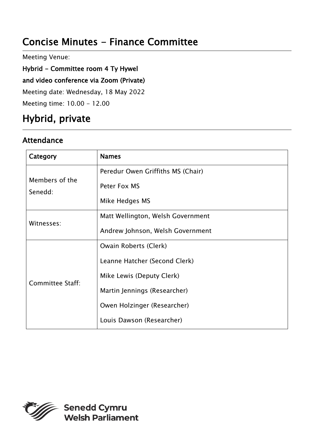# Concise Minutes - Finance Committee

Meeting Venue:

Hybrid - Committee room 4 Ty Hywel

and video conference via Zoom (Private)

Meeting date: Wednesday, 18 May 2022

Meeting time: 10.00 - 12.00

# Hybrid, private

#### Attendance

| Category                  | <b>Names</b>                      |
|---------------------------|-----------------------------------|
| Members of the<br>Senedd: | Peredur Owen Griffiths MS (Chair) |
|                           | Peter Fox MS                      |
|                           | Mike Hedges MS                    |
| Witnesses:                | Matt Wellington, Welsh Government |
|                           | Andrew Johnson, Welsh Government  |
| Committee Staff:          | Owain Roberts (Clerk)             |
|                           | Leanne Hatcher (Second Clerk)     |
|                           | Mike Lewis (Deputy Clerk)         |
|                           | Martin Jennings (Researcher)      |
|                           | Owen Holzinger (Researcher)       |
|                           | Louis Dawson (Researcher)         |